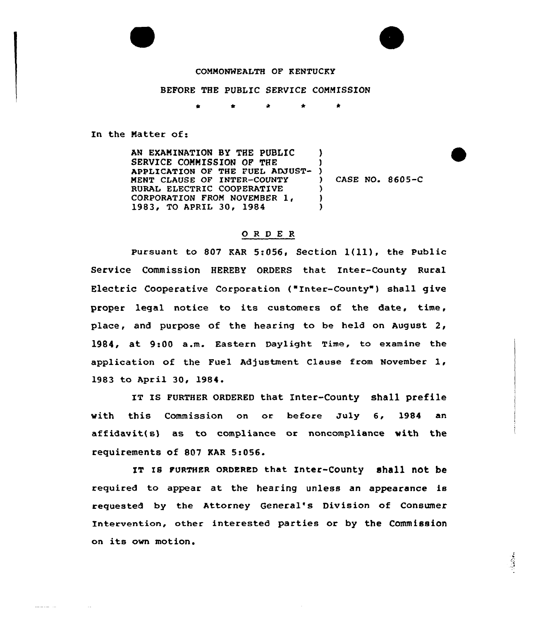## COMMONWEALTH OF KENTUCKY

## BEFORE THE PUBLIC SERVICE COMMISSION

In the Matter of:

أنبدأ المحاسب

AN EXAMINATION BY THE PUBLIC SERVICE COMMISSION OF THE SERVICE COMMISSION OF THE TURL ADJUST- )<br>Application of the fuel adjust- ) MENT CLAUSE OF INTER-COUNTY RURAL ELECTRIC COOPERATIVE CORPORATION FROM NOVEMBER 1, 1983, TO APRIL 30, 1984 ) ) CASE NO. 8605-C ) )  $\lambda$ 

## ORDER

Pursuant to <sup>807</sup> KAR 5:056, Section l{ll), the Public Service Commission HEREBY ORDERS that Inter-County Rural Electric Cooperative Corporation {"Inter-County" ) shall give proper legal notice to its customers of the date, time, place, and purpose of the hearing to be held on August 2, 1984, at 9:00 a.m. Eastern Daylight Time, to examine the application of the Fuel Adjustment Clause from November 1, 1983 to April 30, 1984.

IT Is FURTHER oRDERED that Inter-County shall Prefile with this Commission on or before July 6, 1984 an affidavit{ s) as to compliance or noncompliance with the requirements of 807 KAR 5:056.

IT Is FURTHER GRDERED that Inter-county shall not be required to appear at the hearing unless an appearance is requested by the Attorney General's Division of Consumer Intervention, other interested parties or by the Commission on its own motion.